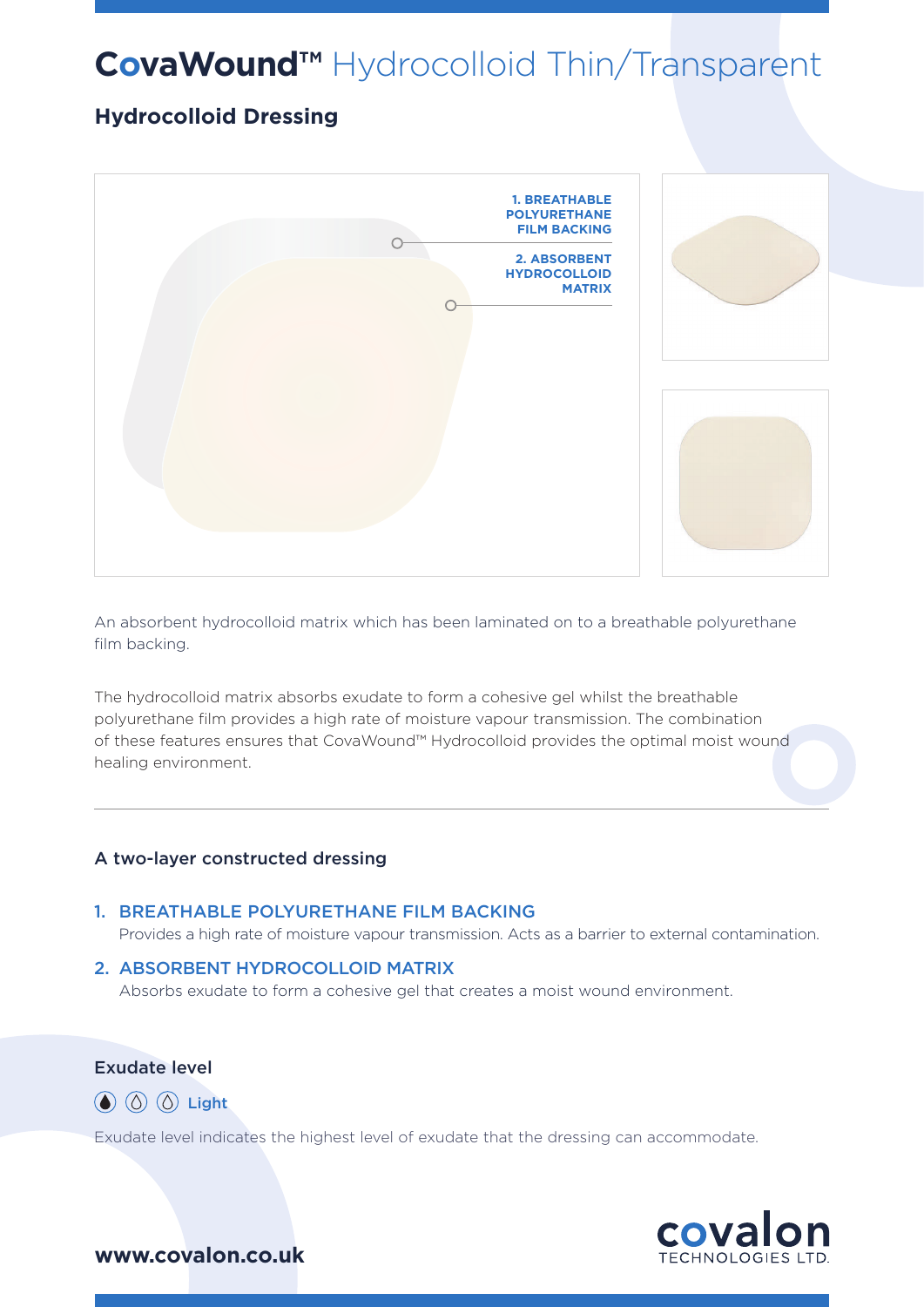# **CovaWound™** Hydrocolloid Thin/Transparent

# **Hydrocolloid Dressing**



An absorbent hydrocolloid matrix which has been laminated on to a breathable polyurethane film backing.

The hydrocolloid matrix absorbs exudate to form a cohesive gel whilst the breathable polyurethane film provides a high rate of moisture vapour transmission. The combination of these features ensures that CovaWound™ Hydrocolloid provides the optimal moist wound healing environment.

#### A two-layer constructed dressing

#### 1. BREATHABLE POLYURETHANE FILM BACKING

Provides a high rate of moisture vapour transmission. Acts as a barrier to external contamination.

#### 2. ABSORBENT HYDROCOLLOID MATRIX

Absorbs exudate to form a cohesive gel that creates a moist wound environment.

### Exudate level

 $\circled{a}$   $\circled{b}$   $\circled{c}$  Light

Exudate level indicates the highest level of exudate that the dressing can accommodate.



## **www.covalon.co.uk**